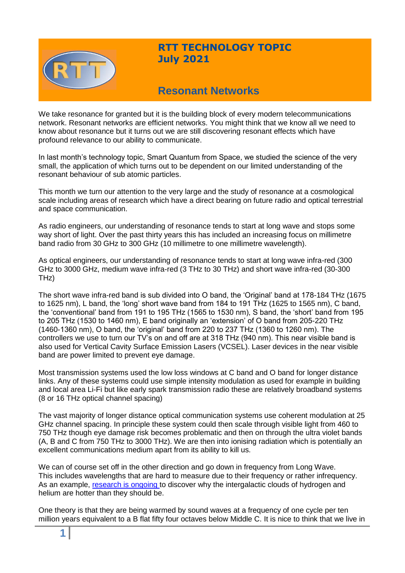

# **RTT TECHNOLOGY TOPIC July 2021**

# **Resonant Networks**

We take resonance for granted but it is the building block of every modern telecommunications network. Resonant networks are efficient networks. You might think that we know all we need to know about resonance but it turns out we are still discovering resonant effects which have profound relevance to our ability to communicate.

In last month's technology topic, Smart Quantum from Space, we studied the science of the very small, the application of which turns out to be dependent on our limited understanding of the resonant behaviour of sub atomic particles.

This month we turn our attention to the very large and the study of resonance at a cosmological scale including areas of research which have a direct bearing on future radio and optical terrestrial and space communication.

As radio engineers, our understanding of resonance tends to start at long wave and stops some way short of light. Over the past thirty years this has included an increasing focus on millimetre band radio from 30 GHz to 300 GHz (10 millimetre to one millimetre wavelength).

As optical engineers, our understanding of resonance tends to start at long wave infra-red (300 GHz to 3000 GHz, medium wave infra-red (3 THz to 30 THz) and short wave infra-red (30-300 THz)

The short wave infra-red band is sub divided into O band, the 'Original' band at 178-184 THz (1675 to 1625 nm), L band, the 'long' short wave band from 184 to 191 THz (1625 to 1565 nm), C band, the 'conventional' band from 191 to 195 THz (1565 to 1530 nm), S band, the 'short' band from 195 to 205 THz (1530 to 1460 nm), E band originally an 'extension' of O band from 205-220 THz (1460-1360 nm), O band, the 'original' band from 220 to 237 THz (1360 to 1260 nm). The controllers we use to turn our TV's on and off are at 318 THz (940 nm). This near visible band is also used for Vertical Cavity Surface Emission Lasers (VCSEL). Laser devices in the near visible band are power limited to prevent eye damage.

Most transmission systems used the low loss windows at C band and O band for longer distance links. Any of these systems could use simple intensity modulation as used for example in building and local area Li-Fi but like early spark transmission radio these are relatively broadband systems (8 or 16 THz optical channel spacing)

The vast majority of longer distance optical communication systems use coherent modulation at 25 GHz channel spacing. In principle these system could then scale through visible light from 460 to 750 THz though eye damage risk becomes problematic and then on through the ultra violet bands (A, B and C from 750 THz to 3000 THz). We are then into ionising radiation which is potentially an excellent communications medium apart from its ability to kill us.

We can of course set off in the other direction and go down in frequency from Long Wave. This includes wavelengths that are hard to measure due to their frequency or rather infrequency. As an example, research is [ongoing t](https://www.bbc.co.uk/programmes/m000lmdt)o discover why the intergalactic clouds of hydrogen and helium are hotter than they should be.

One theory is that they are being warmed by sound waves at a frequency of one cycle per ten million years equivalent to a B flat fifty four octaves below Middle C. It is nice to think that we live in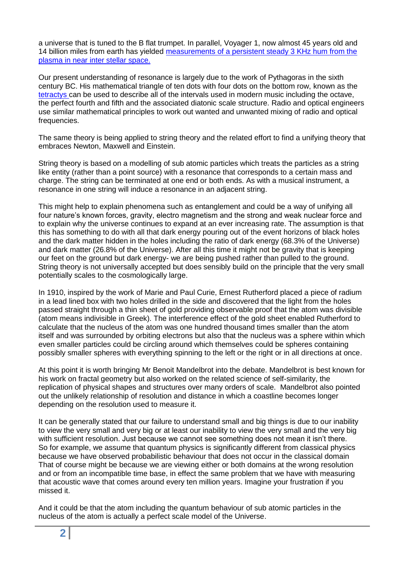a universe that is tuned to the B flat trumpet. In parallel, Voyager 1, now almost 45 years old and 14 billion miles from earth has yielded measurements [of a persistent steady 3 KHz hum from the](https://www.nature.com/articles/s41550-021-01363-7)  [plasma in near inter stellar space.](https://www.nature.com/articles/s41550-021-01363-7)

Our present understanding of resonance is largely due to the work of Pythagoras in the sixth century BC. His mathematical triangle of ten dots with four dots on the bottom row, known as the [tetractys c](https://cogniarchae.com/2017/02/24/universe-according-to-pythagoras-pt-1-tetractys/)an be used to describe all of the intervals used in modern music including the octave, the perfect fourth and fifth and the associated diatonic scale structure. Radio and optical engineers use similar mathematical principles to work out wanted and unwanted mixing of radio and optical frequencies.

The same theory is being applied to string theory and the related effort to find a unifying theory that embraces Newton, Maxwell and Einstein.

String theory is based on a modelling of sub atomic particles which treats the particles as a string like entity (rather than a point source) with a resonance that corresponds to a certain mass and charge. The string can be terminated at one end or both ends. As with a musical instrument, a resonance in one string will induce a resonance in an adjacent string.

This might help to explain phenomena such as entanglement and could be a way of unifying all four nature's known forces, gravity, electro magnetism and the strong and weak nuclear force and to explain why the universe continues to expand at an ever increasing rate. The assumption is that this has something to do with all that dark energy pouring out of the event horizons of black holes and the dark matter hidden in the holes including the ratio of dark energy (68.3% of the Universe) and dark matter (26.8% of the Universe). After all this time it might not be gravity that is keeping our feet on the ground but dark energy- we are being pushed rather than pulled to the ground. String theory is not universally accepted but does sensibly build on the principle that the very small potentially scales to the cosmologically large.

In 1910, inspired by the work of Marie and Paul Curie, Ernest Rutherford placed a piece of radium in a lead lined box with two holes drilled in the side and discovered that the light from the holes passed straight through a thin sheet of gold providing observable proof that the atom was divisible (atom means indivisible in Greek). The interference effect of the gold sheet enabled Rutherford to calculate that the nucleus of the atom was one hundred thousand times smaller than the atom itself and was surrounded by orbiting electrons but also that the nucleus was a sphere within which even smaller particles could be circling around which themselves could be spheres containing possibly smaller spheres with everything spinning to the left or the right or in all directions at once.

At this point it is worth bringing Mr Benoit Mandelbrot into the debate. Mandelbrot is best known for his work on fractal geometry but also worked on the related science of self-similarity, the replication of physical shapes and structures over many orders of scale. Mandelbrot also pointed out the unlikely relationship of resolution and distance in which a coastline becomes longer depending on the resolution used to measure it.

It can be generally stated that our failure to understand small and big things is due to our inability to view the very small and very big or at least our inability to view the very small and the very big with sufficient resolution. Just because we cannot see something does not mean it isn't there. So for example, we assume that quantum physics is significantly different from classical physics because we have observed probabilistic behaviour that does not occur in the classical domain That of course might be because we are viewing either or both domains at the wrong resolution and or from an incompatible time base, in effect the same problem that we have with measuring that acoustic wave that comes around every ten million years. Imagine your frustration if you missed it.

And it could be that the atom including the quantum behaviour of sub atomic particles in the nucleus of the atom is actually a perfect scale model of the Universe.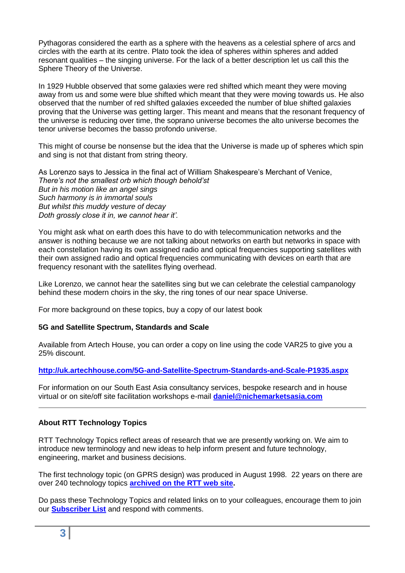Pythagoras considered the earth as a sphere with the heavens as a celestial sphere of arcs and circles with the earth at its centre. Plato took the idea of spheres within spheres and added resonant qualities – the singing universe. For the lack of a better description let us call this the Sphere Theory of the Universe.

In 1929 Hubble observed that some galaxies were red shifted which meant they were moving away from us and some were blue shifted which meant that they were moving towards us. He also observed that the number of red shifted galaxies exceeded the number of blue shifted galaxies proving that the Universe was getting larger. This meant and means that the resonant frequency of the universe is reducing over time, the soprano universe becomes the alto universe becomes the tenor universe becomes the basso profondo universe.

This might of course be nonsense but the idea that the Universe is made up of spheres which spin and sing is not that distant from string theory.

As Lorenzo says to Jessica in the final act of William Shakespeare's Merchant of Venice, *There's not the smallest orb which though behold'st But in his motion like an angel sings Such harmony is in immortal souls But whilst this muddy vesture of decay Doth grossly close it in, we cannot hear it'.*

You might ask what on earth does this have to do with telecommunication networks and the answer is nothing because we are not talking about networks on earth but networks in space with each constellation having its own assigned radio and optical frequencies supporting satellites with their own assigned radio and optical frequencies communicating with devices on earth that are frequency resonant with the satellites flying overhead.

Like Lorenzo, we cannot hear the satellites sing but we can celebrate the celestial campanology behind these modern choirs in the sky, the ring tones of our near space Universe.

For more background on these topics, buy a copy of our latest book

### **5G and Satellite Spectrum, Standards and Scale**

Available from Artech House, you can order a copy on line using the code VAR25 to give you a 25% discount.

### **<http://uk.artechhouse.com/5G-and-Satellite-Spectrum-Standards-and-Scale-P1935.aspx>**

For information on our South East Asia consultancy services, bespoke research and in house virtual or on site/off site facilitation workshops e-mail **[daniel@nichemarketsasia.com](mailto:daniel@nichemarketsasia.com)**

### **About RTT Technology Topics**

RTT Technology Topics reflect areas of research that we are presently working on. We aim to introduce new terminology and new ideas to help inform present and future technology, engineering, market and business decisions.

The first technology topic (on GPRS design) was produced in August 1998. 22 years on there are over 240 technology topics **[archived on the RTT web site.](http://www.rttonline.com/sitemap.html)**

Do pass these Technology Topics and related links on to your colleagues, encourage them to join our **[Subscriber List](mailto:geoff@rttonline.com?subject=Please%20put%20me%20on%20the%20RTT%20Push%20List)** and respond with comments.